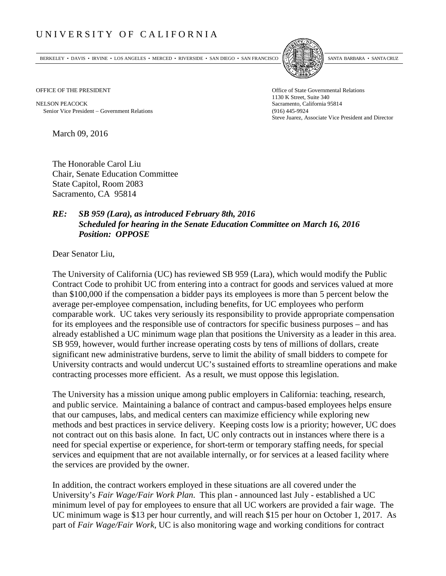## UNIVERSITY OF CALIFORNIA

BERKELEY • DAVIS • IRVINE • LOS ANGELES • MERCED • RIVERSIDE • SAN DIEGO • SAN FRANCISCO [5] SANTA BARBARA • SANTA CRUZ



OFFICE OF THE PRESIDENT STATES OF THE PRESIDENT

NELSON PEACOCK Sacramento, California 95814 Senior Vice President − Government Relations (916) 445-9924

1130 K Street, Suite 340 Steve Juarez, Associate Vice President and Director

March 09, 2016

The Honorable Carol Liu Chair, Senate Education Committee State Capitol, Room 2083 Sacramento, CA 95814

## *RE: SB 959 (Lara), as introduced February 8th, 2016 Scheduled for hearing in the Senate Education Committee on March 16, 2016 Position: OPPOSE*

Dear Senator Liu,

The University of California (UC) has reviewed SB 959 (Lara), which would modify the Public Contract Code to prohibit UC from entering into a contract for goods and services valued at more than \$100,000 if the compensation a bidder pays its employees is more than 5 percent below the average per-employee compensation, including benefits, for UC employees who perform comparable work. UC takes very seriously its responsibility to provide appropriate compensation for its employees and the responsible use of contractors for specific business purposes – and has already established a UC minimum wage plan that positions the University as a leader in this area. SB 959, however, would further increase operating costs by tens of millions of dollars, create significant new administrative burdens, serve to limit the ability of small bidders to compete for University contracts and would undercut UC's sustained efforts to streamline operations and make contracting processes more efficient. As a result, we must oppose this legislation.

The University has a mission unique among public employers in California: teaching, research, and public service. Maintaining a balance of contract and campus‐based employees helps ensure that our campuses, labs, and medical centers can maximize efficiency while exploring new methods and best practices in service delivery. Keeping costs low is a priority; however, UC does not contract out on this basis alone. In fact, UC only contracts out in instances where there is a need for special expertise or experience, for short-term or temporary staffing needs, for special services and equipment that are not available internally, or for services at a leased facility where the services are provided by the owner.

In addition, the contract workers employed in these situations are all covered under the University's *Fair Wage/Fair Work Plan*. This plan - announced last July - established a UC minimum level of pay for employees to ensure that all UC workers are provided a fair wage. The UC minimum wage is \$13 per hour currently, and will reach \$15 per hour on October 1, 2017. As part of *Fair Wage/Fair Work*, UC is also monitoring wage and working conditions for contract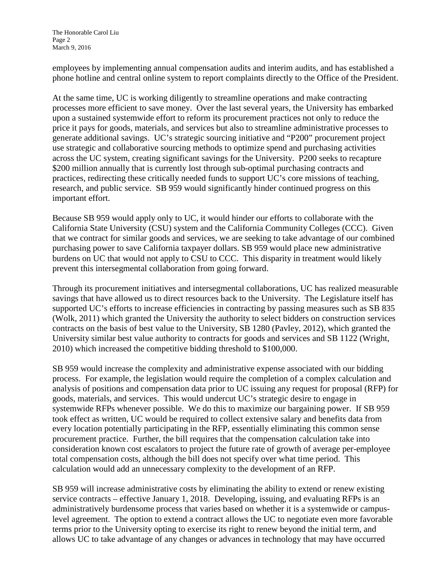employees by implementing annual compensation audits and interim audits, and has established a phone hotline and central online system to report complaints directly to the Office of the President.

At the same time, UC is working diligently to streamline operations and make contracting processes more efficient to save money. Over the last several years, the University has embarked upon a sustained systemwide effort to reform its procurement practices not only to reduce the price it pays for goods, materials, and services but also to streamline administrative processes to generate additional savings. UC's strategic sourcing initiative and "P200" procurement project use strategic and collaborative sourcing methods to optimize spend and purchasing activities across the UC system, creating significant savings for the University. P200 seeks to recapture \$200 million annually that is currently lost through sub-optimal purchasing contracts and practices, redirecting these critically needed funds to support UC's core missions of teaching, research, and public service. SB 959 would significantly hinder continued progress on this important effort.

Because SB 959 would apply only to UC, it would hinder our efforts to collaborate with the California State University (CSU) system and the California Community Colleges (CCC). Given that we contract for similar goods and services, we are seeking to take advantage of our combined purchasing power to save California taxpayer dollars. SB 959 would place new administrative burdens on UC that would not apply to CSU to CCC. This disparity in treatment would likely prevent this intersegmental collaboration from going forward.

Through its procurement initiatives and intersegmental collaborations, UC has realized measurable savings that have allowed us to direct resources back to the University. The Legislature itself has supported UC's efforts to increase efficiencies in contracting by passing measures such as SB 835 (Wolk, 2011) which granted the University the authority to select bidders on construction services contracts on the basis of best value to the University, SB 1280 (Pavley, 2012), which granted the University similar best value authority to contracts for goods and services and SB 1122 (Wright, 2010) which increased the competitive bidding threshold to \$100,000.

SB 959 would increase the complexity and administrative expense associated with our bidding process. For example, the legislation would require the completion of a complex calculation and analysis of positions and compensation data prior to UC issuing any request for proposal (RFP) for goods, materials, and services. This would undercut UC's strategic desire to engage in systemwide RFPs whenever possible. We do this to maximize our bargaining power. If SB 959 took effect as written, UC would be required to collect extensive salary and benefits data from every location potentially participating in the RFP, essentially eliminating this common sense procurement practice. Further, the bill requires that the compensation calculation take into consideration known cost escalators to project the future rate of growth of average per-employee total compensation costs, although the bill does not specify over what time period. This calculation would add an unnecessary complexity to the development of an RFP.

SB 959 will increase administrative costs by eliminating the ability to extend or renew existing service contracts – effective January 1, 2018. Developing, issuing, and evaluating RFPs is an administratively burdensome process that varies based on whether it is a systemwide or campuslevel agreement. The option to extend a contract allows the UC to negotiate even more favorable terms prior to the University opting to exercise its right to renew beyond the initial term, and allows UC to take advantage of any changes or advances in technology that may have occurred